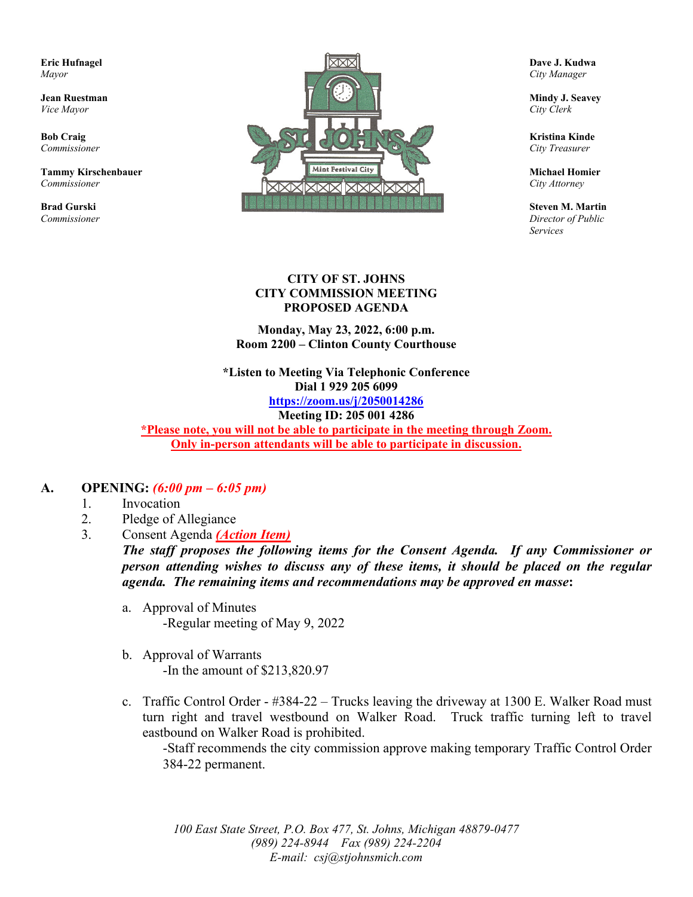

*Services*

#### **CITY OF ST. JOHNS CITY COMMISSION MEETING PROPOSED AGENDA**

**Monday, May 23, 2022, 6:00 p.m. Room 2200 – Clinton County Courthouse**

**\*Listen to Meeting Via Telephonic Conference Dial 1 929 205 6099 <https://zoom.us/j/2050014286> Meeting ID: 205 001 4286**

**\*Please note, you will not be able to participate in the meeting through Zoom. Only in-person attendants will be able to participate in discussion.**

#### **A. OPENING:** *(6:00 pm – 6:05 pm)*

- 1. Invocation
- 2. Pledge of Allegiance
- 3. Consent Agenda *(Action Item)*

*The staff proposes the following items for the Consent Agenda. If any Commissioner or person attending wishes to discuss any of these items, it should be placed on the regular agenda. The remaining items and recommendations may be approved en masse***:**

- a. Approval of Minutes -Regular meeting of May 9, 2022
- b. Approval of Warrants -In the amount of \$213,820.97
- c. Traffic Control Order #384-22 Trucks leaving the driveway at 1300 E. Walker Road must turn right and travel westbound on Walker Road. Truck traffic turning left to travel eastbound on Walker Road is prohibited.

-Staff recommends the city commission approve making temporary Traffic Control Order 384-22 permanent.

*100 East State Street, P.O. Box 477, St. Johns, Michigan 48879-0477 (989) 224-8944 Fax (989) 224-2204 E-mail: csj@stjohnsmich.com*